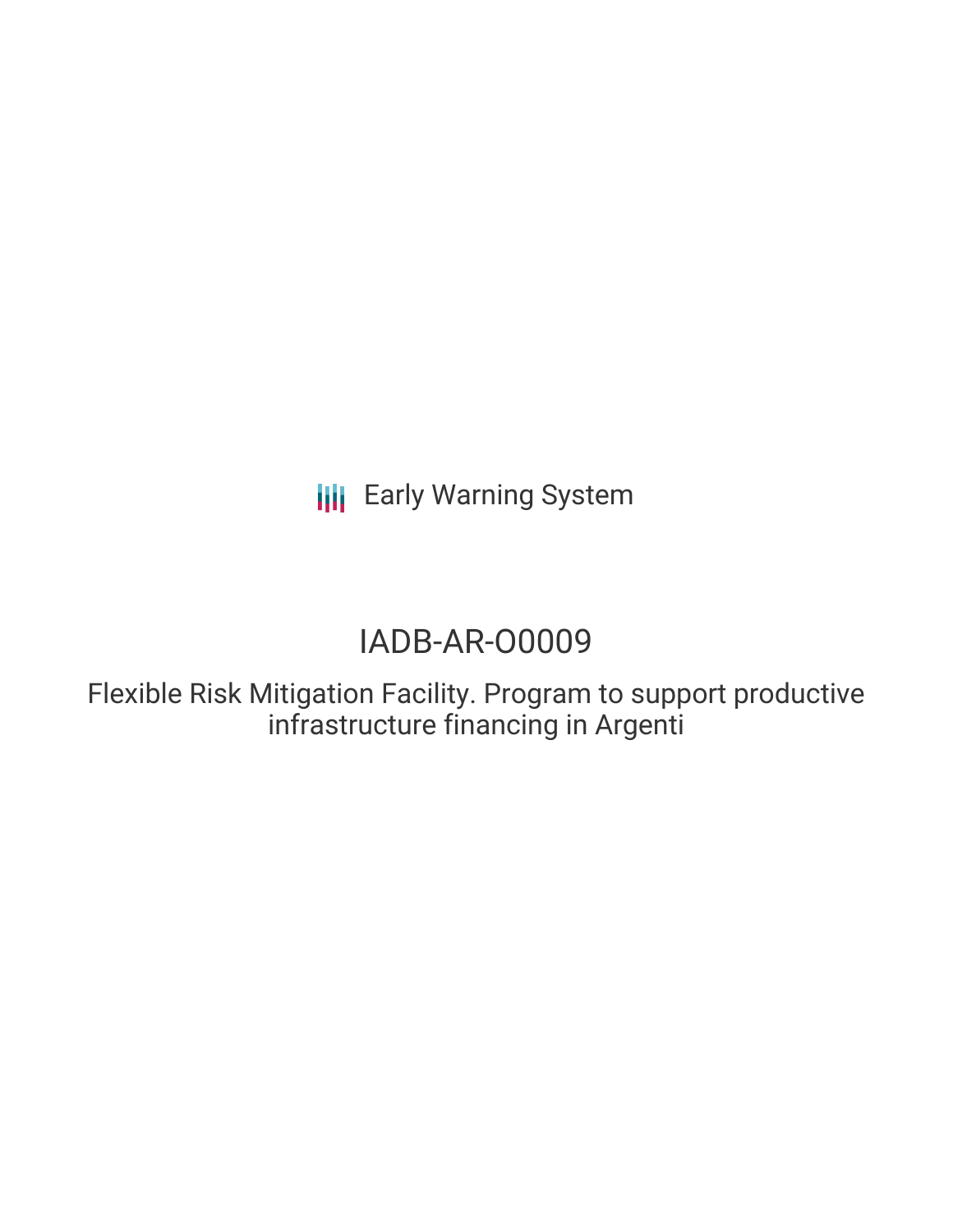**III** Early Warning System

# IADB-AR-O0009

Flexible Risk Mitigation Facility. Program to support productive infrastructure financing in Argenti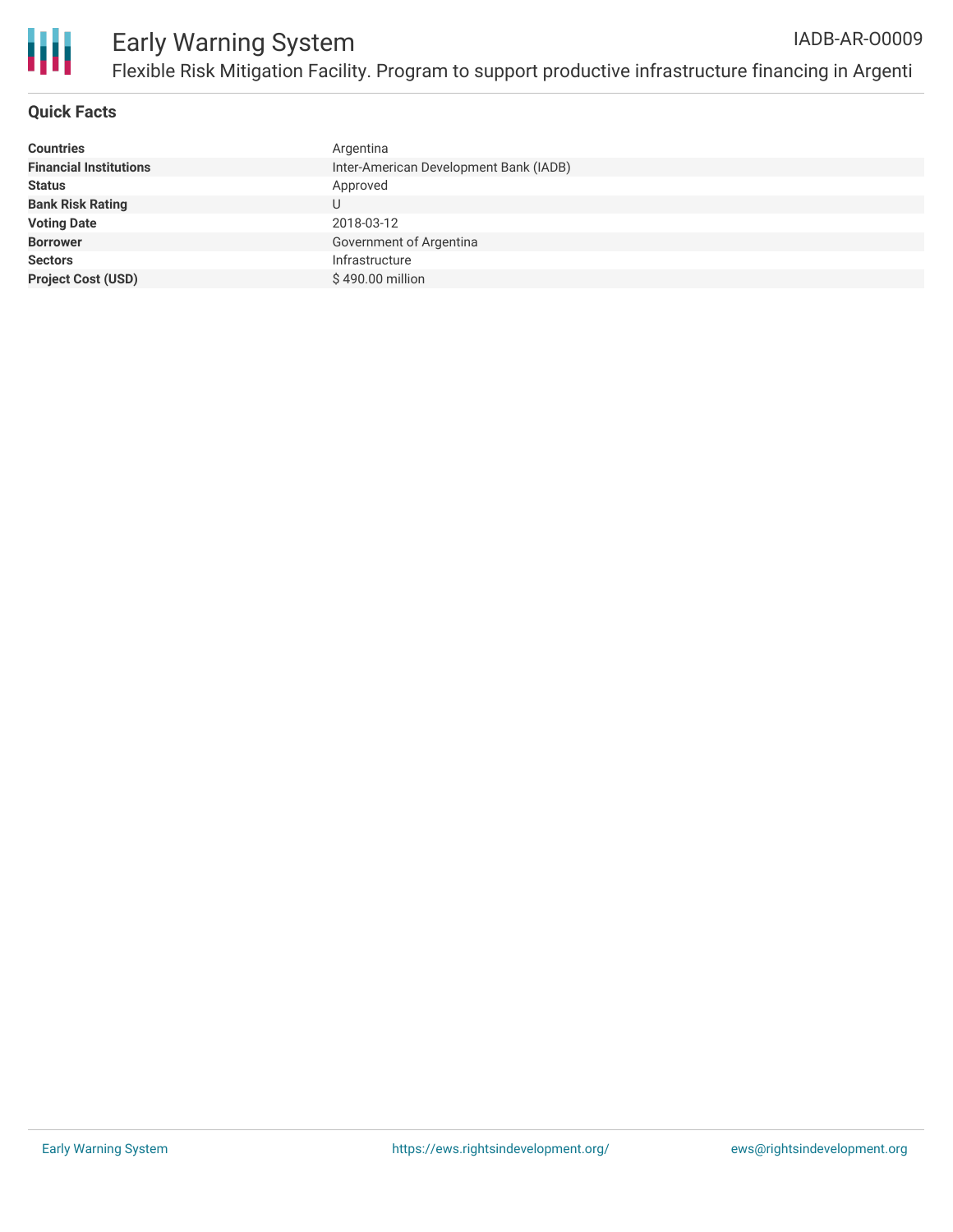

## **Quick Facts**

| <b>Countries</b>              | Argentina                              |
|-------------------------------|----------------------------------------|
| <b>Financial Institutions</b> | Inter-American Development Bank (IADB) |
| <b>Status</b>                 | Approved                               |
| <b>Bank Risk Rating</b>       | U                                      |
| <b>Voting Date</b>            | 2018-03-12                             |
| <b>Borrower</b>               | Government of Argentina                |
| <b>Sectors</b>                | Infrastructure                         |
| <b>Project Cost (USD)</b>     | \$490.00 million                       |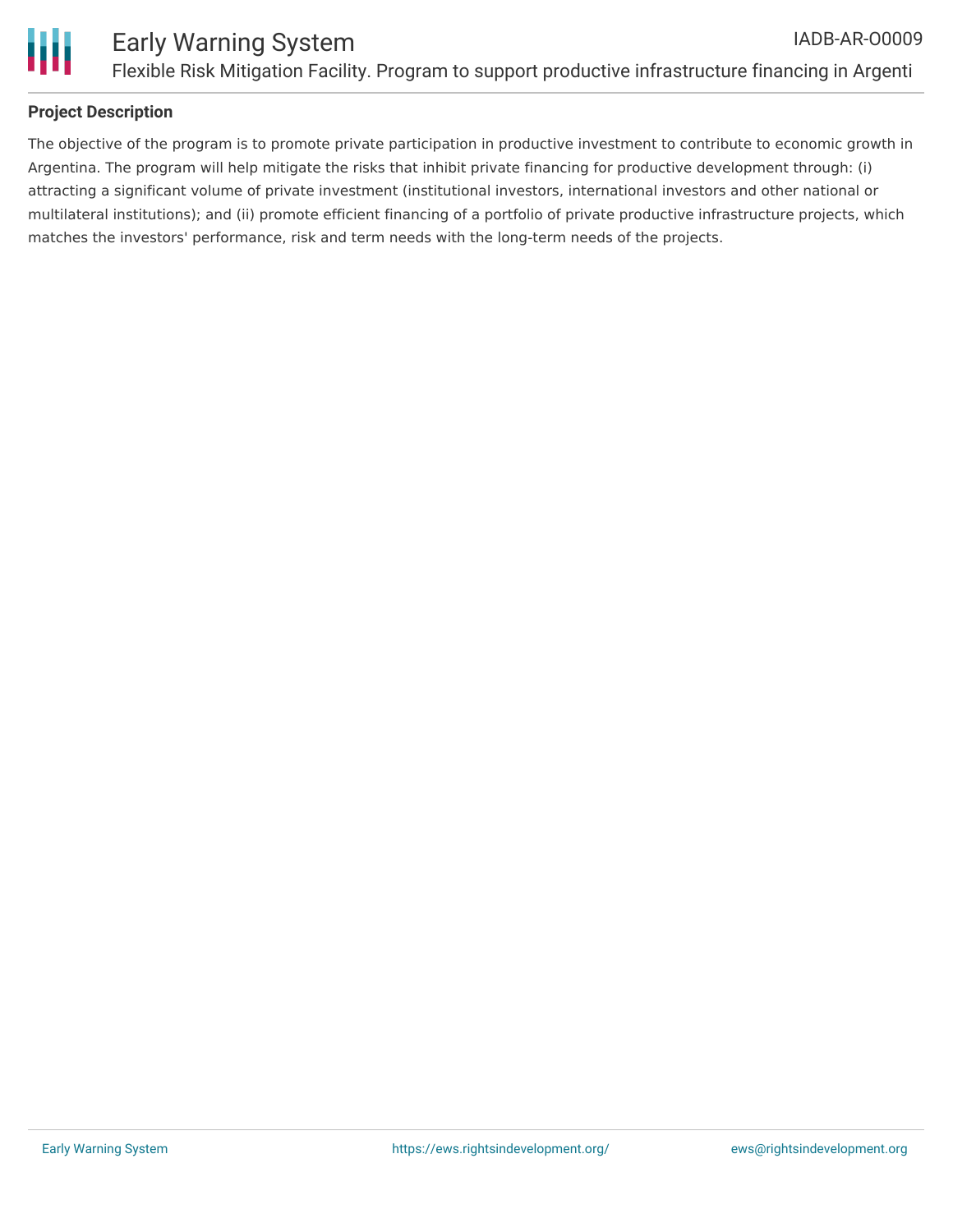

# **Project Description**

The objective of the program is to promote private participation in productive investment to contribute to economic growth in Argentina. The program will help mitigate the risks that inhibit private financing for productive development through: (i) attracting a significant volume of private investment (institutional investors, international investors and other national or multilateral institutions); and (ii) promote efficient financing of a portfolio of private productive infrastructure projects, which matches the investors' performance, risk and term needs with the long-term needs of the projects.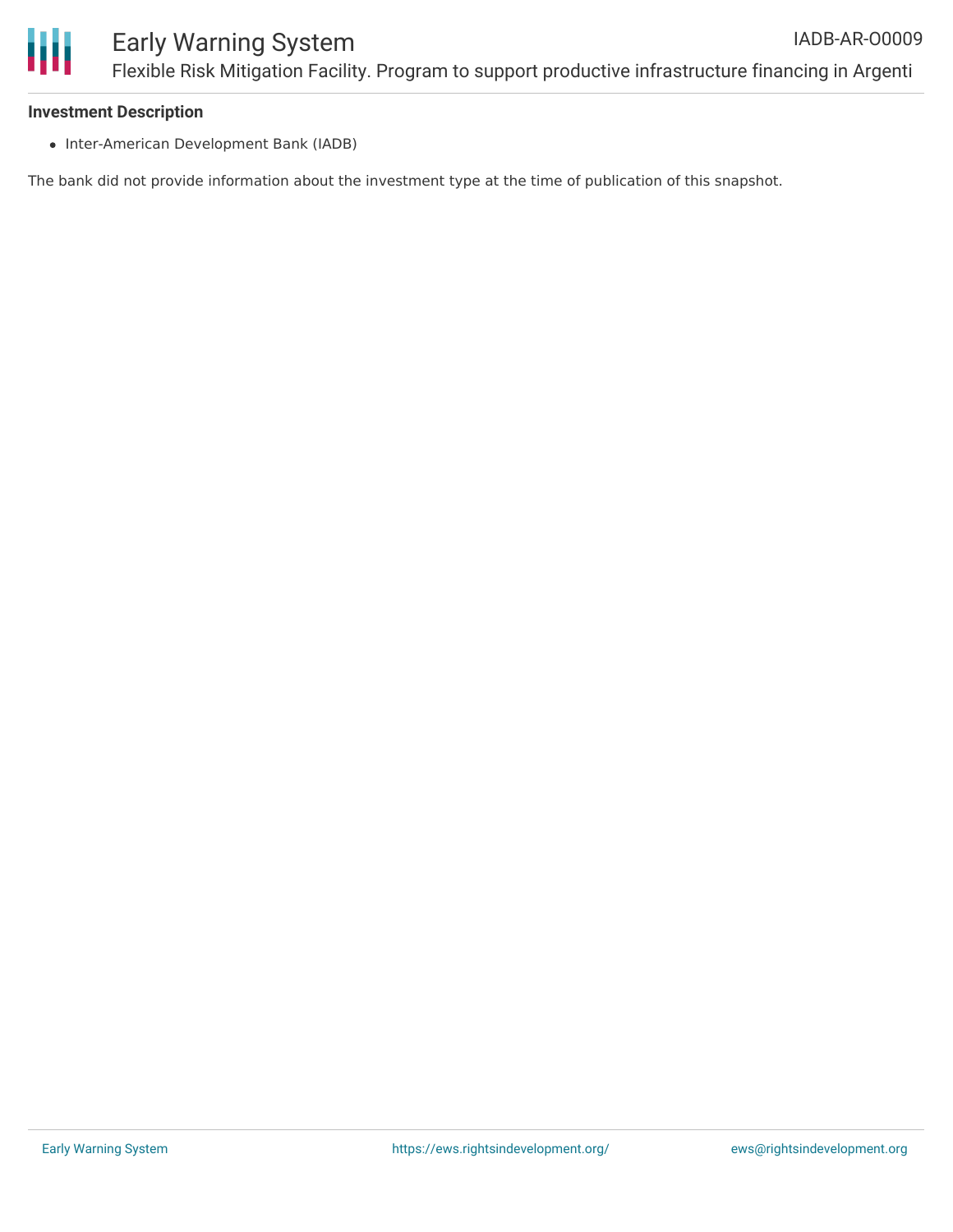

#### **Investment Description**

• Inter-American Development Bank (IADB)

The bank did not provide information about the investment type at the time of publication of this snapshot.